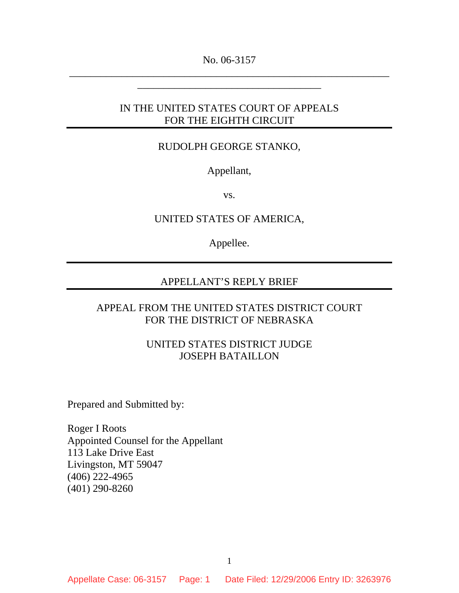No. 06-3157 \_\_\_\_\_\_\_\_\_\_\_\_\_\_\_\_\_\_\_\_\_\_\_\_\_\_\_\_\_\_\_\_\_\_\_\_\_\_\_\_\_\_\_\_\_\_\_\_\_\_\_\_\_\_\_\_\_\_\_\_\_

\_\_\_\_\_\_\_\_\_\_\_\_\_\_\_\_\_\_\_\_\_\_\_\_\_\_\_\_\_\_\_\_\_\_\_

## IN THE UNITED STATES COURT OF APPEALS FOR THE EIGHTH CIRCUIT

### RUDOLPH GEORGE STANKO,

Appellant,

vs.

UNITED STATES OF AMERICA,

Appellee.

### APPELLANT'S REPLY BRIEF

### APPEAL FROM THE UNITED STATES DISTRICT COURT FOR THE DISTRICT OF NEBRASKA

### UNITED STATES DISTRICT JUDGE JOSEPH BATAILLON

Prepared and Submitted by:

Roger I Roots Appointed Counsel for the Appellant 113 Lake Drive East Livingston, MT 59047 (406) 222-4965 (401) 290-8260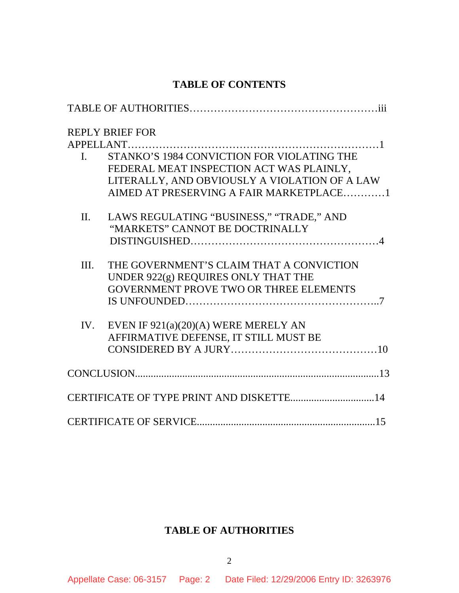# **TABLE OF CONTENTS**

|              | <b>REPLY BRIEF FOR</b>                        |
|--------------|-----------------------------------------------|
|              |                                               |
| $\mathbf{L}$ | STANKO'S 1984 CONVICTION FOR VIOLATING THE    |
|              | FEDERAL MEAT INSPECTION ACT WAS PLAINLY,      |
|              | LITERALLY, AND OBVIOUSLY A VIOLATION OF A LAW |
|              | AIMED AT PRESERVING A FAIR MARKETPLACE1       |
| $\Pi$ .      | LAWS REGULATING "BUSINESS," "TRADE," AND      |
|              | "MARKETS" CANNOT BE DOCTRINALLY               |
|              |                                               |
| Ш.           | THE GOVERNMENT'S CLAIM THAT A CONVICTION      |
|              | UNDER 922(g) REQUIRES ONLY THAT THE           |
|              | GOVERNMENT PROVE TWO OR THREE ELEMENTS        |
|              |                                               |
| IV.          | EVEN IF $921(a)(20)(A)$ WERE MERELY AN        |
|              | AFFIRMATIVE DEFENSE, IT STILL MUST BE         |
|              |                                               |
|              |                                               |
|              | CERTIFICATE OF TYPE PRINT AND DISKETTE 14     |
|              |                                               |

# **TABLE OF AUTHORITIES**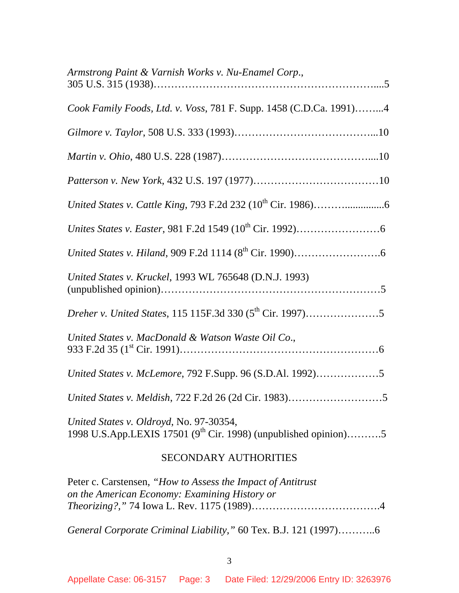| Armstrong Paint & Varnish Works v. Nu-Enamel Corp.,                                                                    |
|------------------------------------------------------------------------------------------------------------------------|
| Cook Family Foods, Ltd. v. Voss, 781 F. Supp. 1458 (C.D.Ca. 1991)4                                                     |
|                                                                                                                        |
|                                                                                                                        |
|                                                                                                                        |
|                                                                                                                        |
|                                                                                                                        |
|                                                                                                                        |
| United States v. Kruckel, 1993 WL 765648 (D.N.J. 1993)                                                                 |
|                                                                                                                        |
| United States v. MacDonald & Watson Waste Oil Co.,                                                                     |
| United States v. McLemore, 792 F.Supp. 96 (S.D.Al. 1992)5                                                              |
|                                                                                                                        |
| United States v. Oldroyd, No. 97-30354,<br>1998 U.S.App.LEXIS 17501 (9 <sup>th</sup> Cir. 1998) (unpublished opinion)5 |
| <b>SECONDARY AUTHORITIES</b>                                                                                           |
| Peter c. Carstensen, "How to Assess the Impact of Antitrust"<br>on the American Economy: Examining History or          |

*Theorizing?,"* 74 Iowa L. Rev. 1175 (1989)……………………………….4

*General Corporate Criminal Liability,"* 60 Tex. B.J. 121 (1997)………..6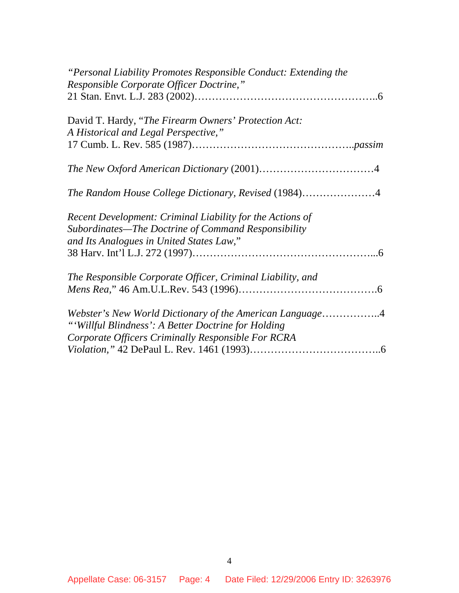| "Personal Liability Promotes Responsible Conduct: Extending the |
|-----------------------------------------------------------------|
| Responsible Corporate Officer Doctrine,"                        |
|                                                                 |
| David T. Hardy, "The Firearm Owners' Protection Act:            |
|                                                                 |
| A Historical and Legal Perspective,"                            |
|                                                                 |
|                                                                 |
| The Random House College Dictionary, Revised (1984)4            |
|                                                                 |
| Recent Development: Criminal Liability for the Actions of       |
| Subordinates—The Doctrine of Command Responsibility             |
| and Its Analogues in United States Law,"                        |
|                                                                 |
|                                                                 |
| The Responsible Corporate Officer, Criminal Liability, and      |
|                                                                 |
| Webster's New World Dictionary of the American Language4        |
| "'Willful Blindness': A Better Doctrine for Holding             |
| Corporate Officers Criminally Responsible For RCRA              |
|                                                                 |
|                                                                 |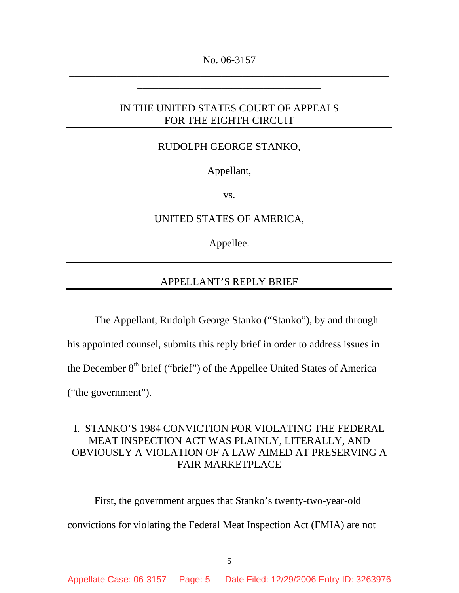No. 06-3157 \_\_\_\_\_\_\_\_\_\_\_\_\_\_\_\_\_\_\_\_\_\_\_\_\_\_\_\_\_\_\_\_\_\_\_\_\_\_\_\_\_\_\_\_\_\_\_\_\_\_\_\_\_\_\_\_\_\_\_\_\_

\_\_\_\_\_\_\_\_\_\_\_\_\_\_\_\_\_\_\_\_\_\_\_\_\_\_\_\_\_\_\_\_\_\_\_

## IN THE UNITED STATES COURT OF APPEALS FOR THE EIGHTH CIRCUIT

#### RUDOLPH GEORGE STANKO,

Appellant,

vs.

UNITED STATES OF AMERICA,

Appellee.

### APPELLANT'S REPLY BRIEF

 The Appellant, Rudolph George Stanko ("Stanko"), by and through his appointed counsel, submits this reply brief in order to address issues in the December  $8<sup>th</sup>$  brief ("brief") of the Appellee United States of America ("the government").

# I. STANKO'S 1984 CONVICTION FOR VIOLATING THE FEDERAL MEAT INSPECTION ACT WAS PLAINLY, LITERALLY, AND OBVIOUSLY A VIOLATION OF A LAW AIMED AT PRESERVING A FAIR MARKETPLACE

 First, the government argues that Stanko's twenty-two-year-old convictions for violating the Federal Meat Inspection Act (FMIA) are not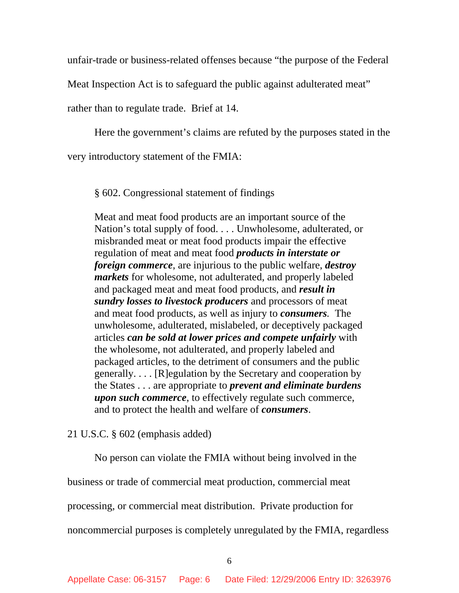unfair-trade or business-related offenses because "the purpose of the Federal

Meat Inspection Act is to safeguard the public against adulterated meat"

rather than to regulate trade. Brief at 14.

Here the government's claims are refuted by the purposes stated in the

very introductory statement of the FMIA:

§ 602. Congressional statement of findings

Meat and meat food products are an important source of the Nation's total supply of food. . . . Unwholesome, adulterated, or misbranded meat or meat food products impair the effective regulation of meat and meat food *products in interstate or foreign commerce*, are injurious to the public welfare, *destroy markets* for wholesome, not adulterated, and properly labeled and packaged meat and meat food products, and *result in sundry losses to livestock producers* and processors of meat and meat food products, as well as injury to *consumers.* The unwholesome, adulterated, mislabeled, or deceptively packaged articles *can be sold at lower prices and compete unfairly* with the wholesome, not adulterated, and properly labeled and packaged articles, to the detriment of consumers and the public generally. . . . [R]egulation by the Secretary and cooperation by the States . . . are appropriate to *prevent and eliminate burdens upon such commerce*, to effectively regulate such commerce, and to protect the health and welfare of *consumers*.

#### 21 U.S.C. § 602 (emphasis added)

No person can violate the FMIA without being involved in the

business or trade of commercial meat production, commercial meat

processing, or commercial meat distribution. Private production for

noncommercial purposes is completely unregulated by the FMIA, regardless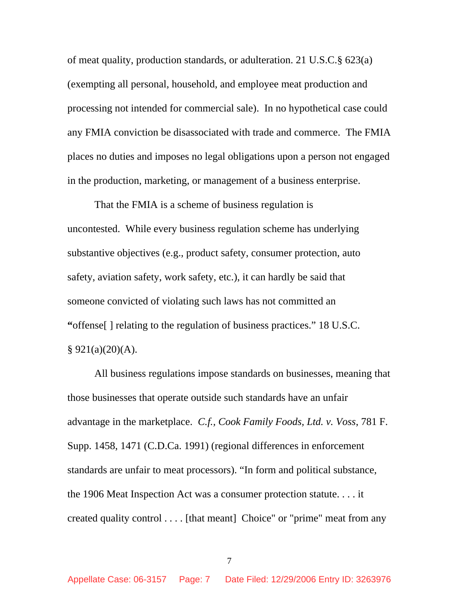of meat quality, production standards, or adulteration. 21 U.S.C.§ 623(a) (exempting all personal, household, and employee meat production and processing not intended for commercial sale). In no hypothetical case could any FMIA conviction be disassociated with trade and commerce. The FMIA places no duties and imposes no legal obligations upon a person not engaged in the production, marketing, or management of a business enterprise.

That the FMIA is a scheme of business regulation is uncontested. While every business regulation scheme has underlying substantive objectives (e.g., product safety, consumer protection, auto safety, aviation safety, work safety, etc.), it can hardly be said that someone convicted of violating such laws has not committed an **"**offense[ ] relating to the regulation of business practices." 18 U.S.C.  $§ 921(a)(20)(A).$ 

All business regulations impose standards on businesses, meaning that those businesses that operate outside such standards have an unfair advantage in the marketplace. *C.f., Cook Family Foods, Ltd. v. Voss*, 781 F. Supp. 1458, 1471 (C.D.Ca. 1991) (regional differences in enforcement standards are unfair to meat processors). "In form and political substance, the 1906 Meat Inspection Act was a consumer protection statute. . . . it created quality control . . . . [that meant] Choice" or "prime" meat from any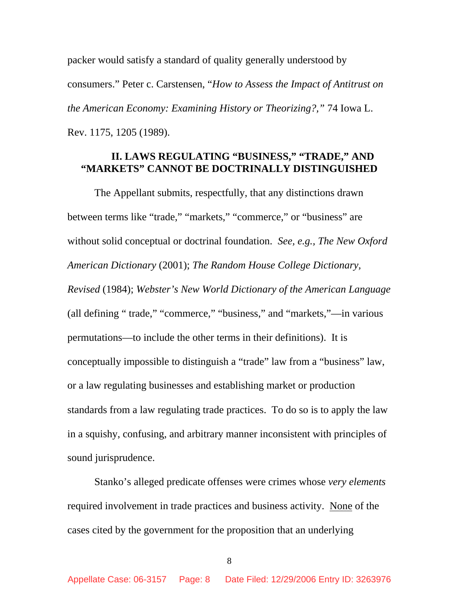packer would satisfy a standard of quality generally understood by consumers." Peter c. Carstensen, "*How to Assess the Impact of Antitrust on the American Economy: Examining History or Theorizing?,"* 74 Iowa L. Rev. 1175, 1205 (1989).

# **II. LAWS REGULATING "BUSINESS," "TRADE," AND "MARKETS" CANNOT BE DOCTRINALLY DISTINGUISHED**

 The Appellant submits, respectfully, that any distinctions drawn between terms like "trade," "markets," "commerce," or "business" are without solid conceptual or doctrinal foundation. *See, e.g., The New Oxford American Dictionary* (2001); *The Random House College Dictionary, Revised* (1984); *Webster's New World Dictionary of the American Language* (all defining " trade," "commerce," "business," and "markets,"—in various permutations—to include the other terms in their definitions). It is conceptually impossible to distinguish a "trade" law from a "business" law, or a law regulating businesses and establishing market or production standards from a law regulating trade practices. To do so is to apply the law in a squishy, confusing, and arbitrary manner inconsistent with principles of sound jurisprudence.

 Stanko's alleged predicate offenses were crimes whose *very elements* required involvement in trade practices and business activity. None of the cases cited by the government for the proposition that an underlying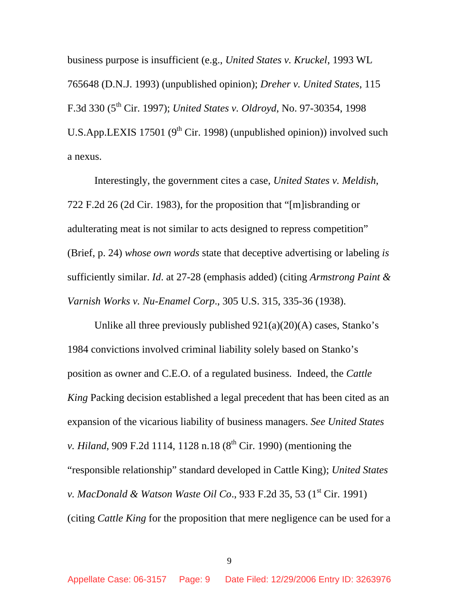business purpose is insufficient (e.g., *United States v. Kruckel*, 1993 WL 765648 (D.N.J. 1993) (unpublished opinion); *Dreher v. United States*, 115 F.3d 330 (5th Cir. 1997); *United States v. Oldroyd*, No. 97-30354, 1998 U.S.App.LEXIS 17501 ( $9<sup>th</sup>$  Cir. 1998) (unpublished opinion)) involved such a nexus.

Interestingly, the government cites a case, *United States v. Meldish*, 722 F.2d 26 (2d Cir. 1983), for the proposition that "[m]isbranding or adulterating meat is not similar to acts designed to repress competition" (Brief, p. 24) *whose own words* state that deceptive advertising or labeling *is* sufficiently similar. *Id*. at 27-28 (emphasis added) (citing *Armstrong Paint & Varnish Works v. Nu-Enamel Corp*., 305 U.S. 315, 335-36 (1938).

Unlike all three previously published 921(a)(20)(A) cases, Stanko's 1984 convictions involved criminal liability solely based on Stanko's position as owner and C.E.O. of a regulated business. Indeed, the *Cattle King* Packing decision established a legal precedent that has been cited as an expansion of the vicarious liability of business managers. *See United States v. Hiland*, 909 F.2d 1114, 1128 n.18 (8<sup>th</sup> Cir. 1990) (mentioning the "responsible relationship" standard developed in Cattle King); *United States v. MacDonald & Watson Waste Oil Co.*, 933 F.2d 35, 53 (1<sup>st</sup> Cir. 1991) (citing *Cattle King* for the proposition that mere negligence can be used for a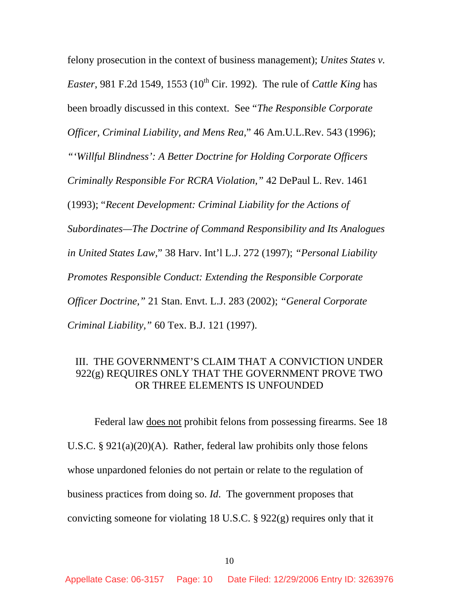felony prosecution in the context of business management); *Unites States v. Easter*, 981 F.2d 1549, 1553 (10<sup>th</sup> Cir. 1992). The rule of *Cattle King* has been broadly discussed in this context. See "*The Responsible Corporate Officer, Criminal Liability, and Mens Rea,*" 46 Am.U.L.Rev. 543 (1996); *"'Willful Blindness': A Better Doctrine for Holding Corporate Officers Criminally Responsible For RCRA Violation,"* 42 DePaul L. Rev. 1461 (1993); "*Recent Development: Criminal Liability for the Actions of Subordinates—The Doctrine of Command Responsibility and Its Analogues in United States Law,*" 38 Harv. Int'l L.J. 272 (1997); *"Personal Liability Promotes Responsible Conduct: Extending the Responsible Corporate Officer Doctrine,"* 21 Stan. Envt. L.J. 283 (2002); *"General Corporate Criminal Liability,"* 60 Tex. B.J. 121 (1997).

## III. THE GOVERNMENT'S CLAIM THAT A CONVICTION UNDER 922(g) REQUIRES ONLY THAT THE GOVERNMENT PROVE TWO OR THREE ELEMENTS IS UNFOUNDED

 Federal law does not prohibit felons from possessing firearms. See 18 U.S.C. § 921(a)(20)(A). Rather, federal law prohibits only those felons whose unpardoned felonies do not pertain or relate to the regulation of business practices from doing so. *Id*. The government proposes that convicting someone for violating 18 U.S.C. § 922(g) requires only that it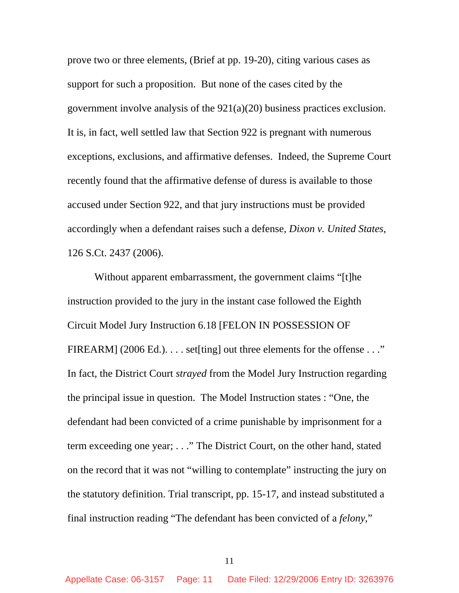prove two or three elements, (Brief at pp. 19-20), citing various cases as support for such a proposition. But none of the cases cited by the government involve analysis of the 921(a)(20) business practices exclusion. It is, in fact, well settled law that Section 922 is pregnant with numerous exceptions, exclusions, and affirmative defenses. Indeed, the Supreme Court recently found that the affirmative defense of duress is available to those accused under Section 922, and that jury instructions must be provided accordingly when a defendant raises such a defense, *Dixon v. United States*, 126 S.Ct. 2437 (2006).

 Without apparent embarrassment, the government claims "[t]he instruction provided to the jury in the instant case followed the Eighth Circuit Model Jury Instruction 6.18 [FELON IN POSSESSION OF FIREARM] (2006 Ed.).  $\dots$  set [ting] out three elements for the offense  $\dots$ " In fact, the District Court *strayed* from the Model Jury Instruction regarding the principal issue in question. The Model Instruction states : "One, the defendant had been convicted of a crime punishable by imprisonment for a term exceeding one year; . . ." The District Court, on the other hand, stated on the record that it was not "willing to contemplate" instructing the jury on the statutory definition. Trial transcript, pp. 15-17, and instead substituted a final instruction reading "The defendant has been convicted of a *felony*,"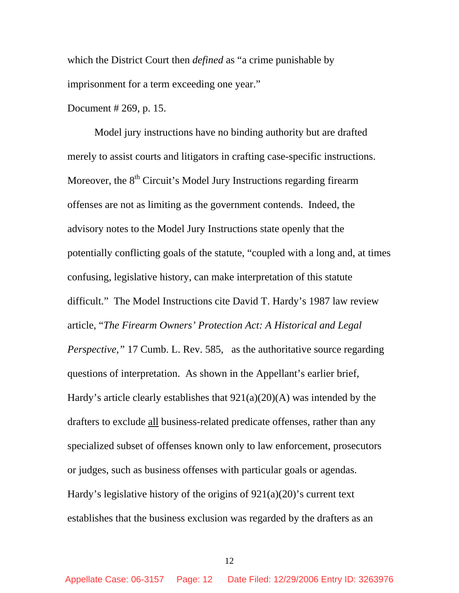which the District Court then *defined* as "a crime punishable by imprisonment for a term exceeding one year."

Document # 269, p. 15.

 Model jury instructions have no binding authority but are drafted merely to assist courts and litigators in crafting case-specific instructions. Moreover, the  $8<sup>th</sup>$  Circuit's Model Jury Instructions regarding firearm offenses are not as limiting as the government contends. Indeed, the advisory notes to the Model Jury Instructions state openly that the potentially conflicting goals of the statute, "coupled with a long and, at times confusing, legislative history, can make interpretation of this statute difficult." The Model Instructions cite David T. Hardy's 1987 law review article, "*The Firearm Owners' Protection Act: A Historical and Legal Perspective,*" 17 Cumb. L. Rev. 585, as the authoritative source regarding questions of interpretation. As shown in the Appellant's earlier brief, Hardy's article clearly establishes that 921(a)(20)(A) was intended by the drafters to exclude all business-related predicate offenses, rather than any specialized subset of offenses known only to law enforcement, prosecutors or judges, such as business offenses with particular goals or agendas. Hardy's legislative history of the origins of  $921(a)(20)$ 's current text establishes that the business exclusion was regarded by the drafters as an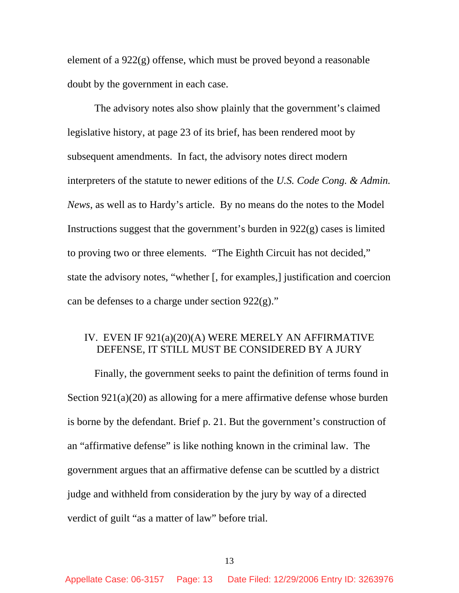element of a 922(g) offense, which must be proved beyond a reasonable doubt by the government in each case.

The advisory notes also show plainly that the government's claimed legislative history, at page 23 of its brief, has been rendered moot by subsequent amendments. In fact, the advisory notes direct modern interpreters of the statute to newer editions of the *U.S. Code Cong. & Admin. News*, as well as to Hardy's article. By no means do the notes to the Model Instructions suggest that the government's burden in 922(g) cases is limited to proving two or three elements. "The Eighth Circuit has not decided," state the advisory notes, "whether [, for examples,] justification and coercion can be defenses to a charge under section  $922(g)$ ."

# IV. EVEN IF 921(a)(20)(A) WERE MERELY AN AFFIRMATIVE DEFENSE, IT STILL MUST BE CONSIDERED BY A JURY

 Finally, the government seeks to paint the definition of terms found in Section 921(a)(20) as allowing for a mere affirmative defense whose burden is borne by the defendant. Brief p. 21. But the government's construction of an "affirmative defense" is like nothing known in the criminal law. The government argues that an affirmative defense can be scuttled by a district judge and withheld from consideration by the jury by way of a directed verdict of guilt "as a matter of law" before trial.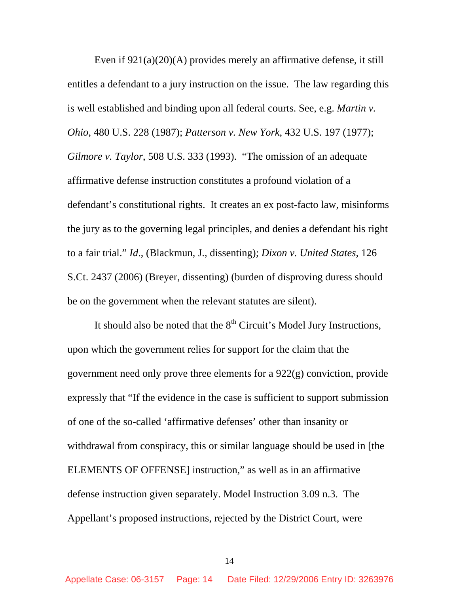Even if 921(a)(20)(A) provides merely an affirmative defense, it still entitles a defendant to a jury instruction on the issue. The law regarding this is well established and binding upon all federal courts. See, e.g. *Martin v. Ohio*, 480 U.S. 228 (1987); *Patterson v. New York*, 432 U.S. 197 (1977); *Gilmore v. Taylor*, 508 U.S. 333 (1993). "The omission of an adequate affirmative defense instruction constitutes a profound violation of a defendant's constitutional rights. It creates an ex post-facto law, misinforms the jury as to the governing legal principles, and denies a defendant his right to a fair trial." *Id*., (Blackmun, J., dissenting); *Dixon v. United States*, 126 S.Ct. 2437 (2006) (Breyer, dissenting) (burden of disproving duress should be on the government when the relevant statutes are silent).

It should also be noted that the  $8<sup>th</sup>$  Circuit's Model Jury Instructions, upon which the government relies for support for the claim that the government need only prove three elements for a 922(g) conviction, provide expressly that "If the evidence in the case is sufficient to support submission of one of the so-called 'affirmative defenses' other than insanity or withdrawal from conspiracy, this or similar language should be used in [the ELEMENTS OF OFFENSE] instruction," as well as in an affirmative defense instruction given separately. Model Instruction 3.09 n.3. The Appellant's proposed instructions, rejected by the District Court, were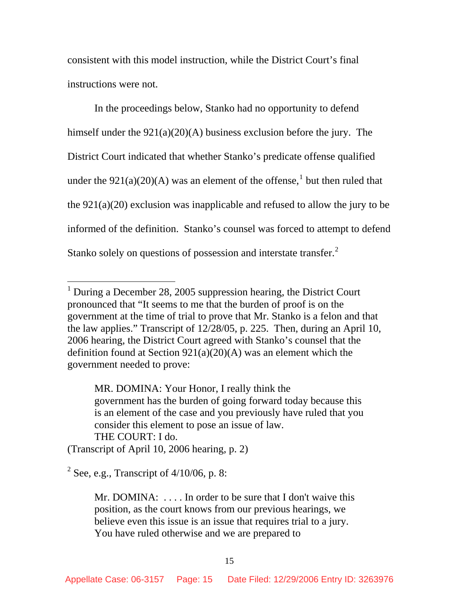consistent with this model instruction, while the District Court's final instructions were not.

 In the proceedings below, Stanko had no opportunity to defend himself under the 921(a)(20)(A) business exclusion before the jury. The District Court indicated that whether Stanko's predicate offense qualified under the  $921(a)(20)(A)$  was an element of the offense,<sup>1</sup> but then ruled that the 921(a)(20) exclusion was inapplicable and refused to allow the jury to be informed of the definition. Stanko's counsel was forced to attempt to defend Stanko solely on questions of possession and interstate transfer. $2$ 

MR. DOMINA: Your Honor, I really think the government has the burden of going forward today because this is an element of the case and you previously have ruled that you consider this element to pose an issue of law. THE COURT: I do.

(Transcript of April 10, 2006 hearing, p. 2)

 $2^2$  See, e.g., Transcript of  $4/10/06$ , p. 8:

 $\overline{a}$ 

Mr. DOMINA: ... In order to be sure that I don't waive this position, as the court knows from our previous hearings, we believe even this issue is an issue that requires trial to a jury. You have ruled otherwise and we are prepared to

<sup>&</sup>lt;sup>1</sup> During a December 28, 2005 suppression hearing, the District Court pronounced that "It seems to me that the burden of proof is on the government at the time of trial to prove that Mr. Stanko is a felon and that the law applies." Transcript of 12/28/05, p. 225. Then, during an April 10, 2006 hearing, the District Court agreed with Stanko's counsel that the definition found at Section 921(a)(20)(A) was an element which the government needed to prove: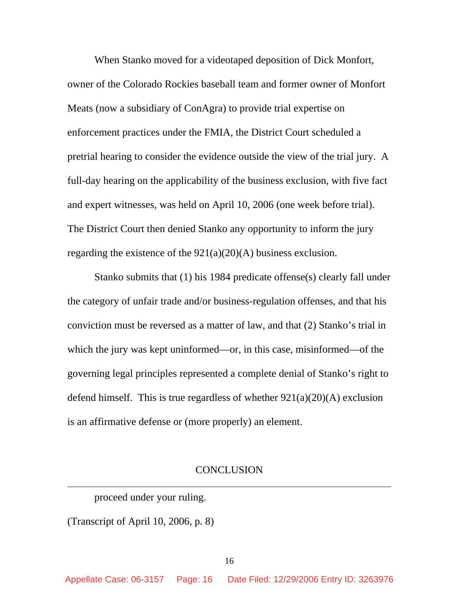When Stanko moved for a videotaped deposition of Dick Monfort, owner of the Colorado Rockies baseball team and former owner of Monfort Meats (now a subsidiary of ConAgra) to provide trial expertise on enforcement practices under the FMIA, the District Court scheduled a pretrial hearing to consider the evidence outside the view of the trial jury. A full-day hearing on the applicability of the business exclusion, with five fact and expert witnesses, was held on April 10, 2006 (one week before trial). The District Court then denied Stanko any opportunity to inform the jury regarding the existence of the  $921(a)(20)(A)$  business exclusion.

Stanko submits that (1) his 1984 predicate offense(s) clearly fall under the category of unfair trade and/or business-regulation offenses, and that his conviction must be reversed as a matter of law, and that (2) Stanko's trial in which the jury was kept uninformed—or, in this case, misinformed—of the governing legal principles represented a complete denial of Stanko's right to defend himself. This is true regardless of whether  $921(a)(20)(A)$  exclusion is an affirmative defense or (more properly) an element.

#### **CONCLUSION**

proceed under your ruling.

(Transcript of April 10, 2006, p. 8)

 $\overline{a}$ 

Appellate Case: 06-3157 Page: 16 Date Filed: 12/29/2006 Entry ID: 3263976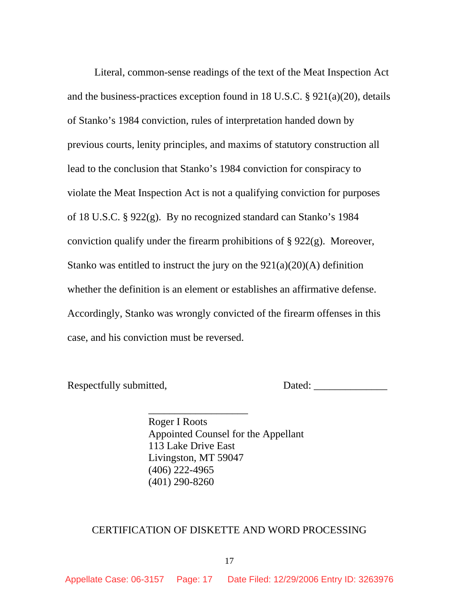Literal, common-sense readings of the text of the Meat Inspection Act and the business-practices exception found in 18 U.S.C. § 921(a)(20), details of Stanko's 1984 conviction, rules of interpretation handed down by previous courts, lenity principles, and maxims of statutory construction all lead to the conclusion that Stanko's 1984 conviction for conspiracy to violate the Meat Inspection Act is not a qualifying conviction for purposes of 18 U.S.C. § 922(g). By no recognized standard can Stanko's 1984 conviction qualify under the firearm prohibitions of  $\S 922(g)$ . Moreover, Stanko was entitled to instruct the jury on the  $921(a)(20)(A)$  definition whether the definition is an element or establishes an affirmative defense. Accordingly, Stanko was wrongly convicted of the firearm offenses in this case, and his conviction must be reversed.

 $\frac{1}{2}$  ,  $\frac{1}{2}$  ,  $\frac{1}{2}$  ,  $\frac{1}{2}$  ,  $\frac{1}{2}$  ,  $\frac{1}{2}$  ,  $\frac{1}{2}$  ,  $\frac{1}{2}$  ,  $\frac{1}{2}$  ,  $\frac{1}{2}$  ,  $\frac{1}{2}$  ,  $\frac{1}{2}$  ,  $\frac{1}{2}$  ,  $\frac{1}{2}$  ,  $\frac{1}{2}$  ,  $\frac{1}{2}$  ,  $\frac{1}{2}$  ,  $\frac{1}{2}$  ,  $\frac{1$ 

Respectfully submitted, Dated: \_\_\_\_\_\_\_\_\_\_\_\_\_\_

 Roger I Roots Appointed Counsel for the Appellant 113 Lake Drive East Livingston, MT 59047 (406) 222-4965 (401) 290-8260

#### CERTIFICATION OF DISKETTE AND WORD PROCESSING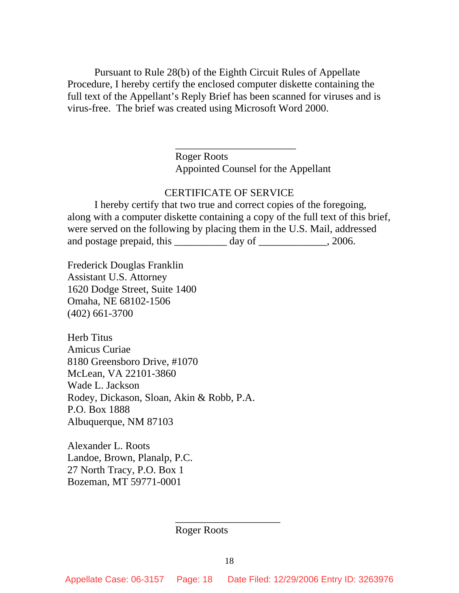Pursuant to Rule 28(b) of the Eighth Circuit Rules of Appellate Procedure, I hereby certify the enclosed computer diskette containing the full text of the Appellant's Reply Brief has been scanned for viruses and is virus-free. The brief was created using Microsoft Word 2000.

 $\frac{1}{2}$  , and the set of the set of the set of the set of the set of the set of the set of the set of the set of the set of the set of the set of the set of the set of the set of the set of the set of the set of the set

 Roger Roots Appointed Counsel for the Appellant

#### CERTIFICATE OF SERVICE

 I hereby certify that two true and correct copies of the foregoing, along with a computer diskette containing a copy of the full text of this brief, were served on the following by placing them in the U.S. Mail, addressed and postage prepaid, this \_\_\_\_\_\_\_\_\_\_ day of \_\_\_\_\_\_\_\_\_\_\_, 2006.

Frederick Douglas Franklin Assistant U.S. Attorney 1620 Dodge Street, Suite 1400 Omaha, NE 68102-1506 (402) 661-3700

Herb Titus Amicus Curiae 8180 Greensboro Drive, #1070 McLean, VA 22101-3860 Wade L. Jackson Rodey, Dickason, Sloan, Akin & Robb, P.A. P.O. Box 1888 Albuquerque, NM 87103

Alexander L. Roots Landoe, Brown, Planalp, P.C. 27 North Tracy, P.O. Box 1 Bozeman, MT 59771-0001

Roger Roots

 $\frac{1}{2}$  , and the set of the set of the set of the set of the set of the set of the set of the set of the set of the set of the set of the set of the set of the set of the set of the set of the set of the set of the set